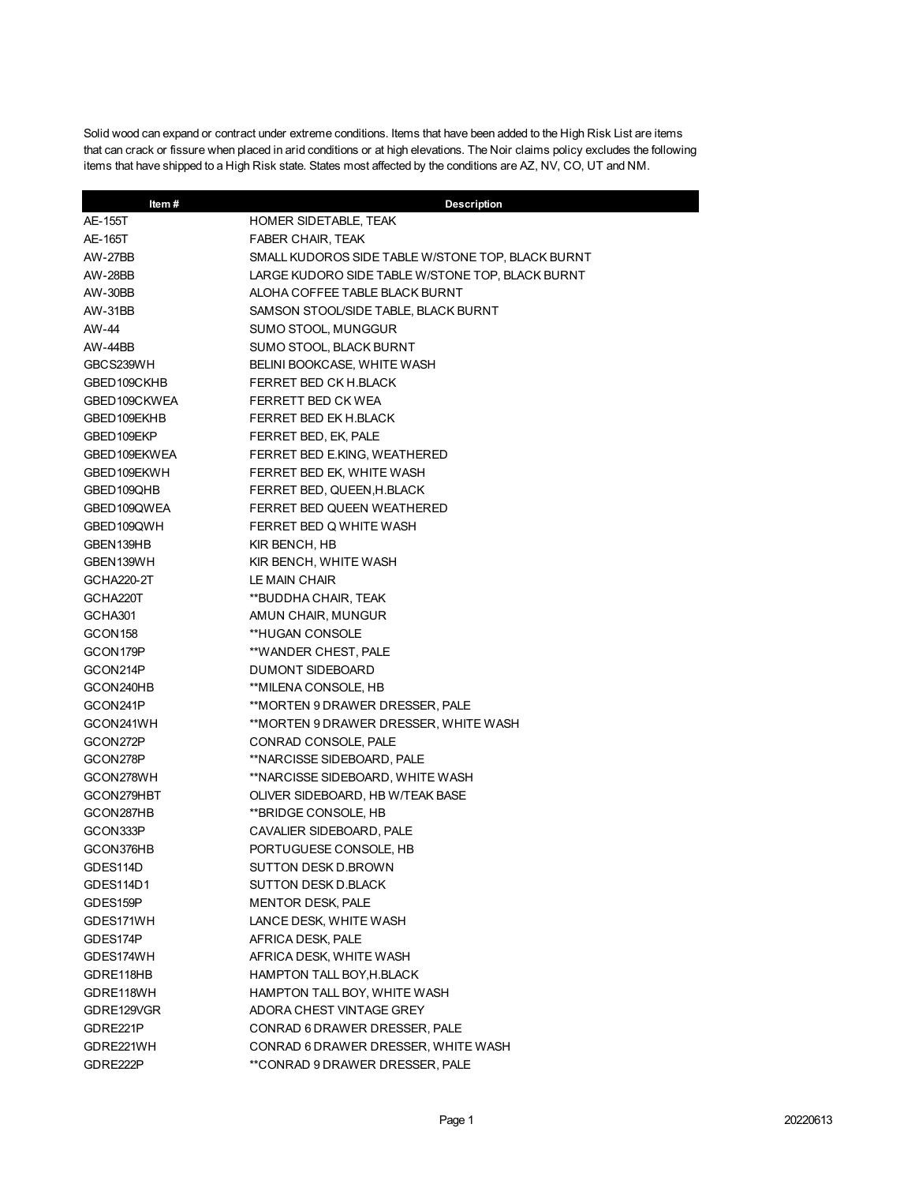Solid wood can expand or contract under extreme conditions. Items that have been added to the High Risk List are items that can crack or fissure when placed in arid conditions or at high elevations. The Noir claims policy excludes the following items that have shipped to a High Risk state. States most affected by the conditions are AZ, NV, CO, UT and NM.

| Item#               | <b>Description</b>                                |
|---------------------|---------------------------------------------------|
| AE-155T             | HOMER SIDETABLE, TEAK                             |
| AE-165T             | <b>FABER CHAIR, TEAK</b>                          |
| AW-27BB             | SMALL KUDOROS SIDE TABLE W/STONE TOP, BLACK BURNT |
| AW-28BB             | LARGE KUDORO SIDE TABLE W/STONE TOP, BLACK BURNT  |
| AW-30BB             | ALOHA COFFEE TABLE BLACK BURNT                    |
| AW-31BB             | SAMSON STOOL/SIDE TABLE, BLACK BURNT              |
| AW-44               | SUMO STOOL, MUNGGUR                               |
| AW-44BB             | SUMO STOOL, BLACK BURNT                           |
| GBCS239WH           | BELINI BOOKCASE, WHITE WASH                       |
| GBED109CKHB         | FERRET BED CK H.BLACK                             |
| GBED109CKWEA        | FERRETT BED CK WEA                                |
| GBED109EKHB         | FERRET BED EK H.BLACK                             |
| GBED109EKP          | FERRET BED, EK, PALE                              |
| GBED109EKWEA        | FERRET BED E.KING, WEATHERED                      |
| GBED109EKWH         | FERRET BED EK, WHITE WASH                         |
| GBED109QHB          | FERRET BED, QUEEN, H. BLACK                       |
| GBED109QWEA         | FERRET BED QUEEN WEATHERED                        |
| GBED109QWH          | FERRET BED Q WHITE WASH                           |
| GBEN139HB           | KIR BENCH, HB                                     |
| GBEN139WH           | KIR BENCH, WHITE WASH                             |
| GCHA220-2T          | LE MAIN CHAIR                                     |
| GCHA220T            | **BUDDHA CHAIR, TEAK                              |
| GCHA301             | AMUN CHAIR, MUNGUR                                |
| GCON <sub>158</sub> | **HUGAN CONSOLE                                   |
| GCON179P            | **WANDER CHEST, PALE                              |
| GCON214P            | DUMONT SIDEBOARD                                  |
| GCON240HB           | **MILENA CONSOLE, HB                              |
| GCON241P            | **MORTEN 9 DRAWER DRESSER, PALE                   |
| GCON241WH           | **MORTEN 9 DRAWER DRESSER, WHITE WASH             |
| GCON272P            | CONRAD CONSOLE, PALE                              |
| GCON278P            | **NARCISSE SIDEBOARD, PALE                        |
| GCON278WH           | **NARCISSE SIDEBOARD, WHITE WASH                  |
| GCON279HBT          | OLIVER SIDEBOARD, HB W/TEAK BASE                  |
| GCON287HB           | **BRIDGE CONSOLE, HB                              |
| GCON333P            | CAVALIER SIDEBOARD, PALE                          |
| GCON376HB           | PORTUGUESE CONSOLE, HB                            |
| GDES114D            | SUTTON DESK D.BROWN                               |
| GDES114D1           | <b>SUTTON DESK D.BLACK</b>                        |
| GDES159P            | <b>MENTOR DESK, PALE</b>                          |
| GDES171WH           | LANCE DESK, WHITE WASH                            |
| GDES174P            | AFRICA DESK, PALE                                 |
| GDES174WH           | AFRICA DESK, WHITE WASH                           |
| GDRE118HB           | HAMPTON TALL BOY, H. BLACK                        |
| GDRE118WH           | HAMPTON TALL BOY, WHITE WASH                      |
| GDRE129VGR          | ADORA CHEST VINTAGE GREY                          |
| GDRE221P            | CONRAD 6 DRAWER DRESSER, PALE                     |
| GDRE221WH           | CONRAD 6 DRAWER DRESSER, WHITE WASH               |
| GDRE222P            | **CONRAD 9 DRAWER DRESSER, PALE                   |